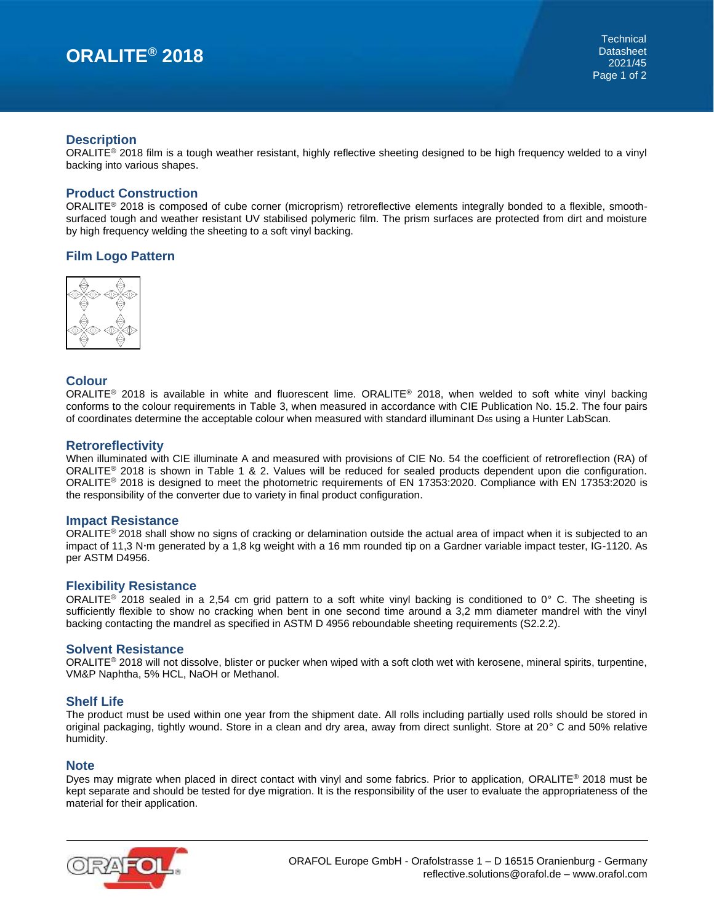### **Description**

ORALITE<sup>®</sup> 2018 film is a tough weather resistant, highly reflective sheeting designed to be high frequency welded to a vinyl backing into various shapes.

### **Product Construction**

ORALITE® 2018 is composed of cube corner (microprism) retroreflective elements integrally bonded to a flexible, smoothsurfaced tough and weather resistant UV stabilised polymeric film. The prism surfaces are protected from dirt and moisture by high frequency welding the sheeting to a soft vinyl backing.

## **Film Logo Pattern**



## **Colour**

ORALITE® 2018 is available in white and fluorescent lime. ORALITE® 2018, when welded to soft white vinyl backing conforms to the colour requirements in Table 3, when measured in accordance with CIE Publication No. 15.2. The four pairs of coordinates determine the acceptable colour when measured with standard illuminant D<sub>65</sub> using a Hunter LabScan.

#### **Retroreflectivity**

When illuminated with CIE illuminate A and measured with provisions of CIE No. 54 the coefficient of retroreflection (RA) of ORALITE® 2018 is shown in Table 1 & 2. Values will be reduced for sealed products dependent upon die configuration. ORALITE® 2018 is designed to meet the photometric requirements of EN 17353:2020. Compliance with EN 17353:2020 is the responsibility of the converter due to variety in final product configuration.

#### **Impact Resistance**

ORALITE<sup>®</sup> 2018 shall show no signs of cracking or delamination outside the actual area of impact when it is subjected to an impact of 11,3 N·m generated by a 1,8 kg weight with a 16 mm rounded tip on a Gardner variable impact tester, IG-1120. As per ASTM D4956.

#### **Flexibility Resistance**

ORALITE<sup>®</sup> 2018 sealed in a 2,54 cm grid pattern to a soft white vinyl backing is conditioned to 0° C. The sheeting is sufficiently flexible to show no cracking when bent in one second time around a 3,2 mm diameter mandrel with the vinyl backing contacting the mandrel as specified in ASTM D 4956 reboundable sheeting requirements (S2.2.2).

#### **Solvent Resistance**

ORALITE® 2018 will not dissolve, blister or pucker when wiped with a soft cloth wet with kerosene, mineral spirits, turpentine, VM&P Naphtha, 5% HCL, NaOH or Methanol.

## **Shelf Life**

The product must be used within one year from the shipment date. All rolls including partially used rolls should be stored in original packaging, tightly wound. Store in a clean and dry area, away from direct sunlight. Store at 20° C and 50% relative humidity.

#### **Note**

Dyes may migrate when placed in direct contact with vinyl and some fabrics. Prior to application, ORALITE<sup>®</sup> 2018 must be kept separate and should be tested for dye migration. It is the responsibility of the user to evaluate the appropriateness of the material for their application.